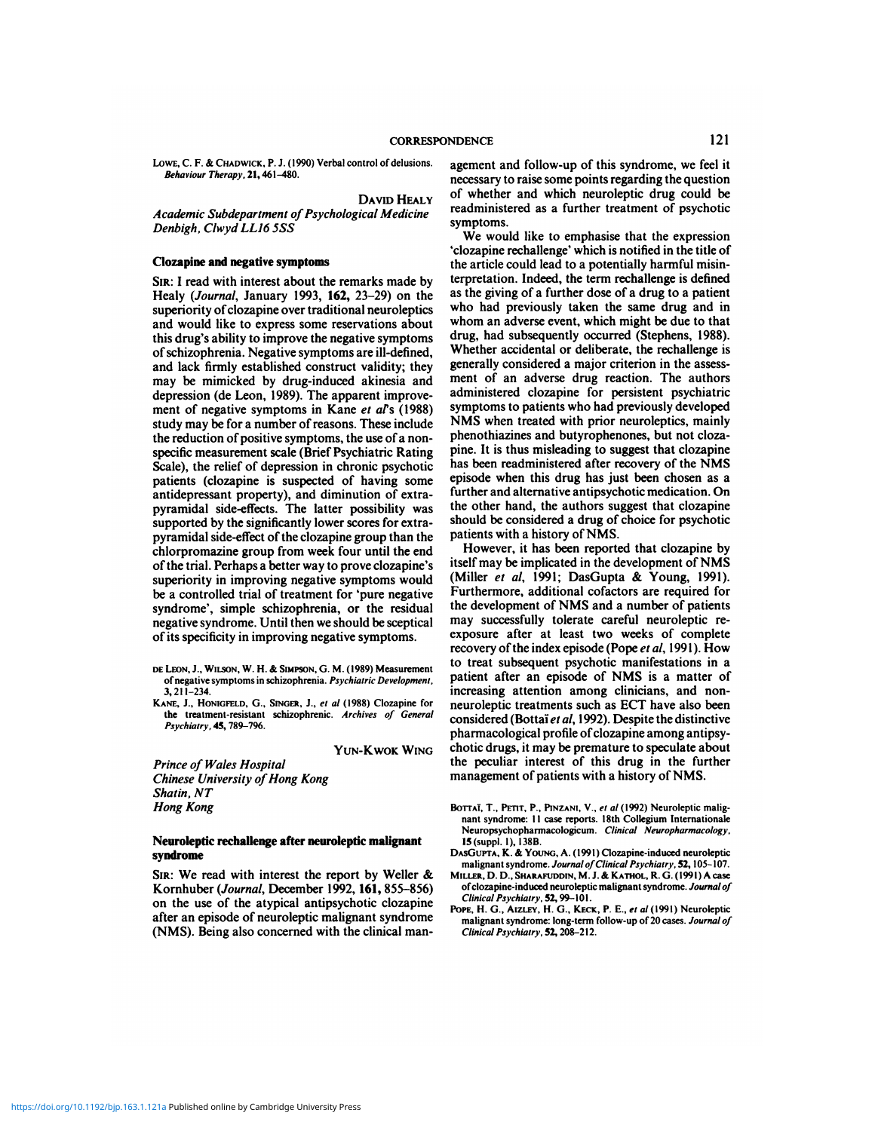LOWE, C. F. & CHADWICK, P. J. (1990) Verbal control of delusions. *Behaviour Therapy*, 21, 461-480.

CORRESPOND<br>Lowe, C. F. & CHADWICK, P. J. (1990) Verbal control of delusions.<br>Behaviour Therapy, 21, 461–480.<br>Academic Subdepartment of Psychological Medicine<br>Denbigh, Clwyd LL16 5SS LOWE, C. F. & CHADWICK, P. J. (1990) Verba<br>*Behaviour Therapy,* 21, 461–480.<br>*Academic Subdepartment of Psycho*<br>Denbigh, Clwyd LL16 5SS

## **Clozapine and negative symptoms**

Academic Subdepartment of Psychological Medicine<br>
Denbigh, Clwyd LL16 5SS<br>
Web The SIR: I read with interest about the remarks made by<br>
SIR: I read with interest about the remarks made by<br>
Healy (Journal, January 1993, 162 Denbigh, Clwyd LL16 5SS<br>
Website and negative symptoms<br>
Clozapine and negative symptoms<br>
SIR: I read with interest about the remarks made by<br>
Healy (Journal, January 1993, 162, 23–29) on the as the<br>
superiority of clozapin <sup>1</sup> th<br> **SIR:** I read with interest about the remarks made by<br>
Healy (Journal, January 1993, 162, 23–29) on the<br>
superiority of clozapine over traditional neuroleptics<br>
and would like to express some reservations about<br>
<sup>1</sup> **Clozapine and negative symptoms**<br>
SIR: I read with interest about the remarks made by<br>
Healy (Journal, January 1993, 162, 23–29) on the<br>
superiority of clozapine over traditional neuroleptics<br>
and would like to express so SIR: I read with interest about the remarks made by<br>Healy (Journal, January 1993, 162, 23–29) on the<br>superiority of clozapine over traditional neuroleptics<br>and would like to express some reservations about<br>this drug's abi Sin: I read with interest about the remarks made by<br>Healy (Journal, January 1993, **162**, 23–29) on the<br>superiority of clozapine over traditional neuroleptics<br>and would like to express some reservations about<br>this drug's ab Healy (*Journal*, January 1993, **162**, 23–29) on the as undersuperiority of clozapine over traditional neuroleptics who and would like to express some reservations about whole this drug's ability to improve the negative sy superiority of clozapine over traditional neuroleptics<br>and would like to express some reservations about who<br>this drug's ability to improve the negative symptoms drug<br>of schizophrenia. Negative symptoms are ill-defined, Wh and would like to express some reservations about<br>this drug's ability to improve the negative symptoms<br>of schizophrenia. Negative symptoms are ill-defined,<br>and lack firmly established construct validity; they<br>meny be mimic this drug's ability to improve the negative symptoms<br>of schizophrenia. Negative symptoms are ill-defined,<br>and lack firmly established construct validity; they<br>may be mimicked by drug-induced akinesia and<br>depression (de Leo of schizophrenia. Negative symptoms are ill-defined,<br>and lack firmly established construct validity; they<br>may be mimicked by drug-induced akinesia and<br>depression (de Leon, 1989). The apparent improve-<br>ment of negative sym and lack firmly established construct validity; they<br>may be mimicked by drug-induced akinesia and<br>depression (de Leon, 1989). The apparent improve-<br>ment of negative symptoms in Kane *et al's* (1988) symp<br>study may be for a may be mimicked by drug-induced akinesia and<br>depression (de Leon, 1989). The apparent improve-<br>ment of negative symptoms in Kane *et al's* (1988) symp<br>study may be for a number of reasons. These include<br>Mathe reduction of study may be for a number of reasons. These include<br>the reduction of positive symptoms, the use of a non-<br>phenothiazines and butyrophenones, but not cloza-<br>specific measurement scale (Brief Psychiatric Rating<br>some pine. It the reduction of positive symptoms, the use of a non-<br>specific measurement scale (Brief Psychiatric Rating<br>Scale), the relief of depression in chronic psychotic<br>patients (clozapine is suspected of having some<br>antidepressan patients (clozapine is suspected of having some episode when this drug has juentide<br>pressant property), and diminution of extra-<br>further and alternative antipsycl<br>pyramidal side-effects. The latter possibility was the othe specific measurement scale (Brief Psychiatric Rating pine<br>Scale), the relief of depression in chronic psychotic has<br>patients (clozapine is suspected of having some epis<br>antidepressant property), and diminution of extra-<br>fu Scale), the relief of depression in chronic psychotic has<br>patients (clozapine is suspected of having some epis<br>antidepressant property), and diminution of extra-<br>furthermore functions are the comparable supported by the si patients (clozapine is suspected of having some<br>antidepressant property), and diminution of extra-<br>pyramidal side-effects. The latter possibility was the of<br>supported by the significantly lower scores for extra-<br>should<br>pyr antidepressant property), and diminution of extra-<br>pyramidal side-effects. The latter possibility was the of<br>supported by the significantly lower scores for extra-<br>should<br>pyramidal side-effect of the clozapine group than t supported by the significantly lower scores for extra-<br>pyramidal side-effect of the clozapine group than the<br>chlorpromazine group from week four until the end<br>of the trial. Perhaps a better way to prove clozapine's itse<br>su pyramidal side-effect of the clozapine group than the<br>chlorpromazine group from week four until the end<br>of the trial. Perhaps a better way to prove clozapine's<br>superiority in improving negative symptoms would<br>be a controll chlorpromazine group from week four until the end<br>of the trial. Perhaps a better way to prove clozapine's<br>superiority in improving negative symptoms would<br>(be a controlled trial of treatment for 'pure negative<br>syndrome', s of the trial. Perhaps a better way to prove clozapine's<br>superiority in improving negative symptoms would<br>be a controlled trial of treatment for 'pure negative<br>syndrome', simple schizophrenia, or the residual<br>negative syndr

- **DELEON, J., WILSON, W. H. & SIMPSON, G. M. (1989) Measurement**<br>
of its specificity in improving negative symptoms.<br>
DE LEON, J., WILSON, W. H. & SIMPSON, G. M. (1989) Measurement<br>
of negative symptoms in schizophrenia. *P* 3,211—234.
- THE SURVEY IN THE SURVEYORS CONSIDENTS.<br>
THE SURVEY OF LEON, J., WILSON, W. H. & SIMPSON, G. M. (1989) Measurement<br>
of negative symptoms in schizophrenic. Archives Development,<br>
3, 211–234.<br> **KANE, J., HONIGFELD, G., SINGE** <sup>3</sup>, 211–234.<br> *KANE, J., HONIGFELD, G., SINGER, J., HONIGFELD, G., SINGER,<br>
the treatment-resistant schizop<br>
<i>Psychiatry*, **45**, 789–796.<br> *Prince of Wales Hospital*<br> *Chinese University of Hong Prince Mixersity of Hong P*

*Chinese the treatment-resistant schizophrenic. Archives of General<br>Psychiatry, 45, 789–796.*<br>YUN-KWOK WING<br>Prince of Wales Hospital<br>Chinese University of Hong Kong<br>Shatin, NT<br>Hong Kong the treatment-resistant<br>*Psychiatry*, **45**, 789–796.<br>*Prince of Wales Hosp*<br>*Chinese University of*<br>*Shatin, NT*<br>*Hong Kong Prince of Wales Ho<br>Chinese University<br>Shatin, NT<br>Hong Kong* 

## Neuroleptic rechallenge after neuroleptic malignant<br>syndrome<br>SIR: We read with interest the report by Weller & syndrome

From Borry<br>
Neuroleptic rechallenge after neuroleptic malignant<br>
Neuroleptic rechallenge after neuroleptic malignant<br>
SIR: We read with interest the report by Weller &<br>
SIR: We read with interest the report by Weller &<br>
M **ONEXERENT SYNCHERE EXERCT EXERCT AT A SYNCHICLE STATE:**<br>
SIR: We read with interest the report by Weller & MIL<br>
Kornhuber (Journal, December 1992, 161, 855–856)<br>
on the use of the atypical antipsychotic clozapine<br>
after a **after an episode of neuroleptic malignant**<br>
Single of the strengthenia based of the atypical antipsychotic clozapine<br>
after an episode of neuroleptic malignant syndrome<br>
(NMS). Being also concerned with the clinical man-SIR: We read with interest the report by Weller & Mittel<br>
Kornhuber (*Journal*, December 1992, 161, 855–856) of concerned with the use of the atypical antipsychotic clozapine<br>
after an episode of neuroleptic malignant synd

**CORRESPONDENCE**<br>
Matrol of delusions.<br> **DAVID HEALY**<br> **DAVID HEALY**<br> **DAVID HEALY**<br> **DAVID HEALY**<br> **DAVID HEALY**<br> **DAVID HEALY**<br> **DAVID HEALY**<br> **DAVID HEALY**<br> **DAVID HEALY**<br> **DAVID HEALY**<br> **DAVID HEALY** NDENCE<br>agement and follow-up of this syndrome, we feel it<br>necessary to raise some points regarding the question<br>of which a quelishing any cauld be NDENCE<br>
agement and follow-up of this syndrome, we feel it<br>
necessary to raise some points regarding the question<br>
of whether and which neuroleptic drug could be<br>
readministered as a further treatment required 121<br>agement and follow-up of this syndrome, we feel it<br>necessary to raise some points regarding the question<br>of whether and which neuroleptic drug could be<br>readministered as a further treatment of psychotic 121<br>agement and follow-up of this syndrome, we feel it<br>necessary to raise some points regarding the question<br>of whether and which neuroleptic drug could be<br>readministered as a further treatment of psychotic<br>symptoms. **symptoms.** ement and follow-up of this syndrome, we feel it<br>cessary to raise some points regarding the question<br>whether and which neuroleptic drug could be<br>dministered as a further treatment of psychotic<br>mptoms.<br>We would like to emph necessary to raise some points regarding the question<br>of whether and which neuroleptic drug could be<br>readministered as a further treatment of psychotic<br>symptoms.<br>We would like to emphasise that the expression<br>clozapine rec

of whether and which neuroleptic drug could be<br>readministered as a further treatment of psychotic<br>symptoms.<br>We would like to emphasise that the expression<br>'clozapine rechallenge' which is notified in the title of<br>the artic symptoms.<br>We would like to emphasise that the expression<br>'clozapine rechallenge' which is notified in the title of<br>the article could lead to a potentially harmful misin-<br>terpretation. Indeed, the term rechallenge is define We would like to emphasise that the expression 'clozapine rechallenge' which is notified in the title of the article could lead to a potentially harmful misinterpretation. Indeed, the term rechallenge is defined as the giv We would like to emphasise that the expression 'clozapine rechallenge' which is notified in the title of the article could lead to a potentially harmful misinterpretation. Indeed, the term rechallenge is defined as the giv the article could lead to a potentially harmful misin-<br>terpretation. Indeed, the term rechallenge is defined<br>as the giving of a further dose of a drug to a patient<br>who had previously taken the same drug and in<br>whom an adve as the giving of a further dose of a drug to a patient<br>who had previously taken the same drug and in<br>whom an adverse event, which might be due to that<br>drug, had subsequently occurred (Stephens, 1988).<br>Whether accidental or whom an adverse event, which might be due to that drug, had subsequently occurred (Stephens, 1988). Whether accidental or deliberate, the rechallenge is generally considered a major criterion in the assessment of an advers symptoms to patients who had previously developed symptoms and subsequently occurred (Stephens, 1988).<br>Whether accidental or deliberate, the rechallenge is<br>generally considered a major criterion in the assessment of an adverse drug reaction. The authors<br>administered cloza Whether accidental or deliberate, the rechallenge is<br>generally considered a major criterion in the assessment of an adverse drug reaction. The authors<br>administered clozapine for persistent psychiatric<br>symptoms to patients generally considered a major criterion in the assessment of an adverse drug reaction. The authors administered clozapine for persistent psychiatric symptoms to patients who had previously developed NMS when treated with pr ment of an adverse drug reaction. The authors<br>administered clozapine for persistent psychiatric<br>symptoms to patients who had previously developed<br>NMS when treated with prior neuroleptics, mainly<br>phenothiazines and butyroph symptoms to patients who had previously developed<br>NMS when treated with prior neuroleptics, mainly<br>phenothiazines and butyrophenones, but not cloza-<br>pine. It is thus misleading to suggest that clozapine<br>has been readminist NMS when treated with prior neuroleptics, mainly<br>phenothiazines and butyrophenones, but not cloza-<br>pine. It is thus misleading to suggest that clozapine<br>has been readministered after recovery of the NMS<br>episode when this d phenothiazines and butyrophenones, but not cloza-<br>pine. It is thus misleading to suggest that clozapine<br>has been readministered after recovery of the NMS<br>episode when this drug has just been chosen as a<br>further and alterna pine. It is thus misleading to suggest that clozapine<br>has been readministered after recovery of the NMS<br>episode when this drug has just been chosen as a<br>further and alternative antipsychotic medication. On<br>the other hand, has been readministered after reco<br>episode when this drug has just I<br>further and alternative antipsychot<br>the other hand, the authors sugge<br>should be considered a drug of che<br>patients with a history of NMS.<br>However, it has isode when this drug has just been chosen as a<br>rther and alternative antipsychotic medication. On<br>e other hand, the authors suggest that clozapine<br>ould be considered a drug of choice for psychotic<br>tients with a history of

further and alternative antipsychotic medication. On<br>the other hand, the authors suggest that clozapine<br>should be considered a drug of choice for psychotic<br>patients with a history of NMS.<br>However, it has been reported that should be considered a drug of choice for psychotic<br>patients with a history of NMS.<br>However, it has been reported that clozapine by<br>itself may be implicated in the development of NMS<br>(Miller *et al.*, 1991; DasGupta & You patients with a history of NMS.<br>
However, it has been reported that clozapine by<br>
itself may be implicated in the development of NMS<br>
(Miller *et al.*, 1991; DasGupta & Young, 1991).<br>
Furthermore, additional cofactors are However, it has been reported that clozapine by<br>itself may be implicated in the development of NMS<br>(Miller *et al.*, 1991; DasGupta & Young, 1991).<br>Furthermore, additional cofactors are required for<br>the development of NMS itself may be implicated in the development of NMS<br>(Miller *et al.*, 1991; DasGupta & Young, 1991).<br>Furthermore, additional cofactors are required for<br>the development of NMS and a number of patients<br>may successfully tolera (Miller *et al.*, 1991; DasGupta & Young, 1991).<br>Furthermore, additional cofactors are required for<br>the development of NMS and a number of patients<br>may successfully tolerate careful neuroleptic re-<br>exposure after at least Furthermore, additional cofactors are required for<br>the development of NMS and a number of patients<br>may successfully tolerate careful neuroleptic re-<br>exposure after at least two weeks of complete<br>recovery of the index episo the development of NMS and a number of patients<br>may successfully tolerate careful neuroleptic re-<br>exposure after at least two weeks of complete<br>recovery of the index episode (Pope *et al*, 1991). How<br>to treat subsequent ps may successfully tolerate careful neuroleptic re-<br>exposure after at least two weeks of complete<br>recovery of the index episode (Pope *et al*, 1991). How<br>to treat subsequent psychotic manifestations in a<br>patient after an epi exposure after at least two weeks of complete<br>recovery of the index episode (Pope *et al.*, 1991). How<br>to treat subsequent psychotic manifestations in a<br>patient after an episode of NMS is a matter of<br>increasing attention a recovery of the index episode (Pope *et al.*, 1991). How<br>to treat subsequent psychotic manifestations in a<br>patient after an episode of NMS is a matter of<br>increasing attention among clinicians, and non-<br>neuroleptic treatmen to treat subsequent psychotic manifestations in a<br>patient after an episode of NMS is a matter of<br>increasing attention among clinicians, and non-<br>neuroleptic treatments such as ECT have also been<br>considered (Bottai et al., increasing attention among clinicians, and non-<br>neuroleptic treatments such as ECT have also been<br>considered (Bottaï et al, 1992). Despite the distinctive<br>pharmacological profile of clozapine among antipsy-<br>chotic drugs, i increasing attention among clinicians, and non-<br>neuroleptic treatments such as ECT have also been<br>considered (Bottaï *et al*, 1992). Despite the distinctive<br>pharmacological profile of clozapine among antipsy-<br>chotic drugs neuroleptic treatments such as ECT have also bee<br>considered (Bottaï et al, 1992). Despite the distinctiv<br>pharmacological profile of clozapine among antipsy<br>chotic drugs, it may be premature to speculate abou<br>the peculiar i The time the consider of the time of the time of the time of the time of the time of the time of the time of the time of the pectual of the pectual of the pectual of the pectual of the pectual of the pectual of the pectual

- **Borrar, 1., PETIT, P., PINZANI, V., et al (1992) Neuroleptic maligraphs**<br> **Borrar, T., PETIT, P., PINZANI, V., et al (1992) Neuroleptic malig-**<br>
nant syndrome: 11 case reports. 18th Collegium Internationale<br>
Neuropsychoph The Presentation of patients with a history of NMS.<br>
BOTTAÏ, T., PETIT, P., PINZANI, V., et al (1992) Neuroleptic malig-<br>
nant syndrome: 11 case reports. 18th Collegium Internationale<br>
Neuropsychopharmacologicum. Clinical **SIRE:** We read with interest the report by Weller &<br>
SIR: We read with interest the report by Weller &<br>
SIR: We read with interest the report by Weller &<br>
SIR: We read with interest the report by Weller &<br>
SIR: We read wi
	-
	-
	- Neuropsychopharmacologicum. Clinical Neuropharmacology,<br>15 (suppl. 1), 138B.<br>DASGUPTA, K. & YOUNG, A. (1991) Clozapine-induced neuroleptic<br>malignant syndrome. Journal of Clinical Psychiatry, 52, 105–107.<br>MILLER, D. D., SHA *ClinicalPsychiatry,52,208—212.*